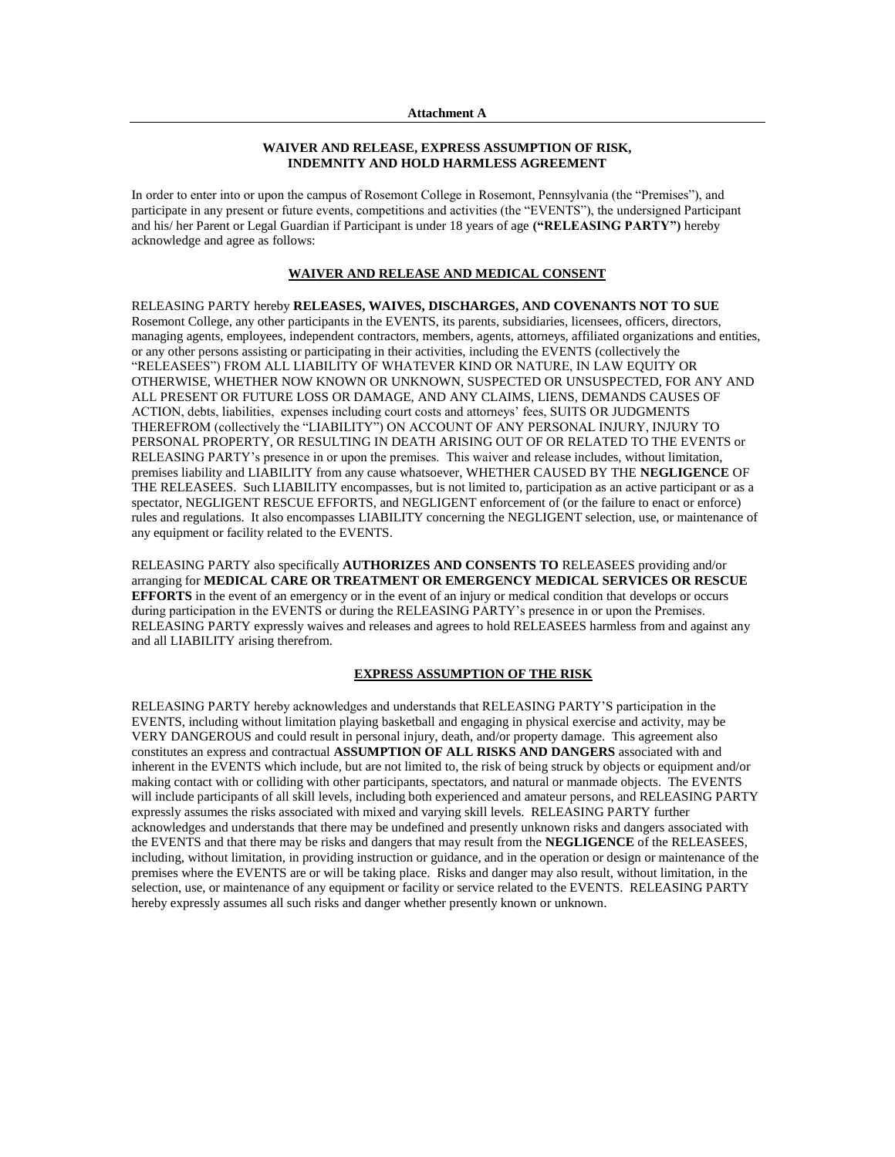### **WAIVER AND RELEASE, EXPRESS ASSUMPTION OF RISK, INDEMNITY AND HOLD HARMLESS AGREEMENT**

In order to enter into or upon the campus of Rosemont College in Rosemont, Pennsylvania (the "Premises"), and participate in any present or future events, competitions and activities (the "EVENTS"), the undersigned Participant and his/ her Parent or Legal Guardian if Participant is under 18 years of age **("RELEASING PARTY")** hereby acknowledge and agree as follows:

## **WAIVER AND RELEASE AND MEDICAL CONSENT**

RELEASING PARTY hereby **RELEASES, WAIVES, DISCHARGES, AND COVENANTS NOT TO SUE** Rosemont College, any other participants in the EVENTS, its parents, subsidiaries, licensees, officers, directors, managing agents, employees, independent contractors, members, agents, attorneys, affiliated organizations and entities, or any other persons assisting or participating in their activities, including the EVENTS (collectively the "RELEASEES") FROM ALL LIABILITY OF WHATEVER KIND OR NATURE, IN LAW EQUITY OR OTHERWISE, WHETHER NOW KNOWN OR UNKNOWN, SUSPECTED OR UNSUSPECTED, FOR ANY AND ALL PRESENT OR FUTURE LOSS OR DAMAGE, AND ANY CLAIMS, LIENS, DEMANDS CAUSES OF ACTION, debts, liabilities, expenses including court costs and attorneys' fees, SUITS OR JUDGMENTS THEREFROM (collectively the "LIABILITY") ON ACCOUNT OF ANY PERSONAL INJURY, INJURY TO PERSONAL PROPERTY, OR RESULTING IN DEATH ARISING OUT OF OR RELATED TO THE EVENTS or RELEASING PARTY's presence in or upon the premises. This waiver and release includes, without limitation, premises liability and LIABILITY from any cause whatsoever, WHETHER CAUSED BY THE **NEGLIGENCE** OF THE RELEASEES. Such LIABILITY encompasses, but is not limited to, participation as an active participant or as a spectator, NEGLIGENT RESCUE EFFORTS, and NEGLIGENT enforcement of (or the failure to enact or enforce) rules and regulations. It also encompasses LIABILITY concerning the NEGLIGENT selection, use, or maintenance of any equipment or facility related to the EVENTS.

RELEASING PARTY also specifically **AUTHORIZES AND CONSENTS TO** RELEASEES providing and/or arranging for **MEDICAL CARE OR TREATMENT OR EMERGENCY MEDICAL SERVICES OR RESCUE EFFORTS** in the event of an emergency or in the event of an injury or medical condition that develops or occurs during participation in the EVENTS or during the RELEASING PARTY's presence in or upon the Premises. RELEASING PARTY expressly waives and releases and agrees to hold RELEASEES harmless from and against any and all LIABILITY arising therefrom.

# **EXPRESS ASSUMPTION OF THE RISK**

RELEASING PARTY hereby acknowledges and understands that RELEASING PARTY'S participation in the EVENTS, including without limitation playing basketball and engaging in physical exercise and activity, may be VERY DANGEROUS and could result in personal injury, death, and/or property damage. This agreement also constitutes an express and contractual **ASSUMPTION OF ALL RISKS AND DANGERS** associated with and inherent in the EVENTS which include, but are not limited to, the risk of being struck by objects or equipment and/or making contact with or colliding with other participants, spectators, and natural or manmade objects. The EVENTS will include participants of all skill levels, including both experienced and amateur persons, and RELEASING PARTY expressly assumes the risks associated with mixed and varying skill levels. RELEASING PARTY further acknowledges and understands that there may be undefined and presently unknown risks and dangers associated with the EVENTS and that there may be risks and dangers that may result from the **NEGLIGENCE** of the RELEASEES, including, without limitation, in providing instruction or guidance, and in the operation or design or maintenance of the premises where the EVENTS are or will be taking place. Risks and danger may also result, without limitation, in the selection, use, or maintenance of any equipment or facility or service related to the EVENTS. RELEASING PARTY hereby expressly assumes all such risks and danger whether presently known or unknown.